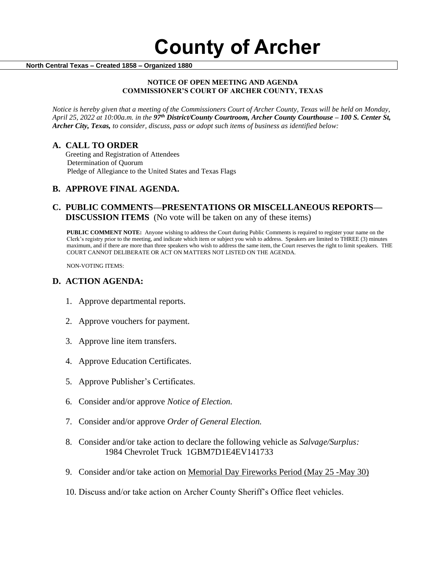#### **North Central Texas – Created 1858 – Organized 1880**

#### **NOTICE OF OPEN MEETING AND AGENDA COMMISSIONER'S COURT OF ARCHER COUNTY, TEXAS**

*Notice is hereby given that a meeting of the Commissioners Court of Archer County, Texas will be held on Monday, April 25, 2022 at 10:00a.m. in the 97th District/County Courtroom, Archer County Courthouse – 100 S. Center St, Archer City, Texas, to consider, discuss, pass or adopt such items of business as identified below:*

## **A. CALL TO ORDER**

 Greeting and Registration of Attendees Determination of Quorum Pledge of Allegiance to the United States and Texas Flags

# **B. APPROVE FINAL AGENDA.**

# **C. PUBLIC COMMENTS—PRESENTATIONS OR MISCELLANEOUS REPORTS— DISCUSSION ITEMS** (No vote will be taken on any of these items)

**PUBLIC COMMENT NOTE:** Anyone wishing to address the Court during Public Comments is required to register your name on the Clerk's registry prior to the meeting, and indicate which item or subject you wish to address. Speakers are limited to THREE (3) minutes maximum, and if there are more than three speakers who wish to address the same item, the Court reserves the right to limit speakers. THE COURT CANNOT DELIBERATE OR ACT ON MATTERS NOT LISTED ON THE AGENDA.

NON-VOTING ITEMS:

## **D. ACTION AGENDA:**

- 1. Approve departmental reports.
- 2. Approve vouchers for payment.
- 3. Approve line item transfers.
- 4. Approve Education Certificates.
- 5. Approve Publisher's Certificates.
- 6. Consider and/or approve *Notice of Election.*
- 7. Consider and/or approve *Order of General Election.*
- 8. Consider and/or take action to declare the following vehicle as *Salvage/Surplus:*  1984 Chevrolet Truck 1GBM7D1E4EV141733
- 9. Consider and/or take action on Memorial Day Fireworks Period (May 25 -May 30)
- 10. Discuss and/or take action on Archer County Sheriff's Office fleet vehicles.